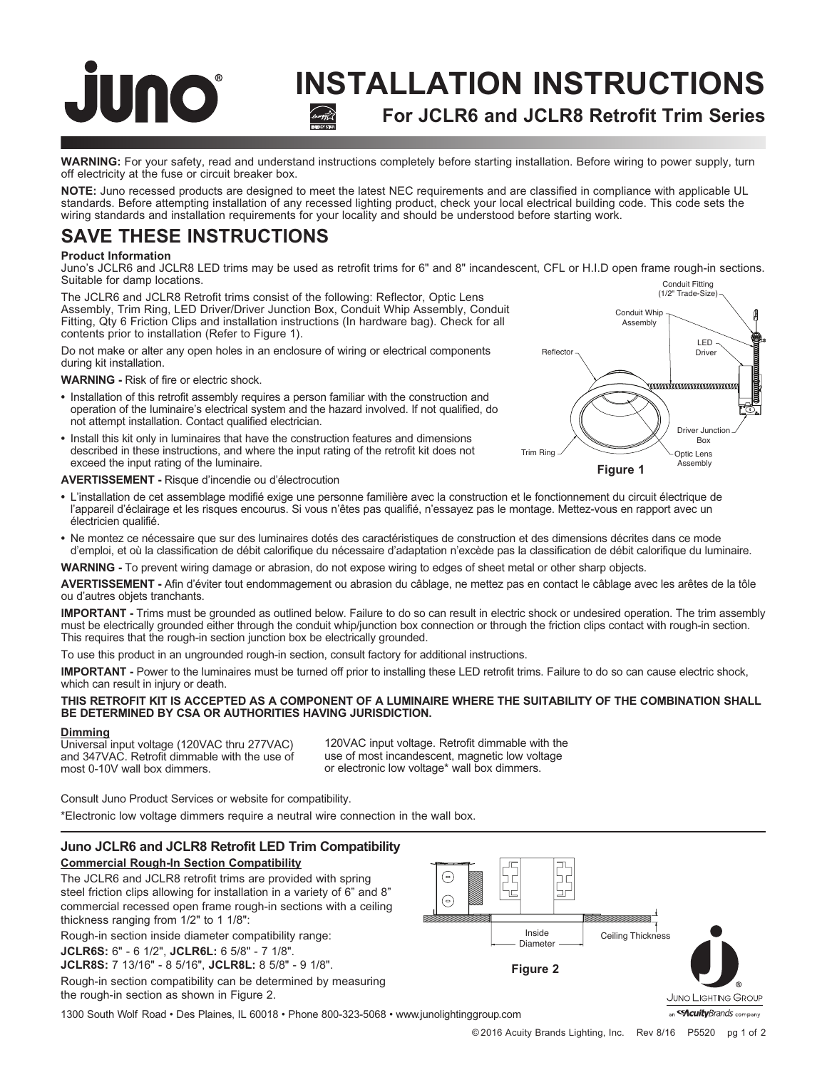# **INSTALLATION INSTRUCTIONS For JCLR6 and JCLR8 Retrofit Trim Series**

Trim Ring

**WARNING:** For your safety, read and understand instructions completely before starting installation. Before wiring to power supply, turn off electricity at the fuse or circuit breaker box.

**NOTE:** Juno recessed products are designed to meet the latest NEC requirements and are classified in compliance with applicable UL standards. Before attempting installation of any recessed lighting product, check your local electrical building code. This code sets the wiring standards and installation requirements for your locality and should be understood before starting work.

# **SAVE THESE INSTRUCTIONS**

# **Product Information**

JUNO

Juno's JCLR6 and JCLR8 LED trims may be used as retrofit trims for 6" and 8" incandescent, CFL or H.I.D open frame rough-in sections. Suitable for damp locations. Conduit Fitting

The JCLR6 and JCLR8 Retrofit trims consist of the following: Reflector, Optic Lens Assembly, Trim Ring, LED Driver/Driver Junction Box, Conduit Whip Assembly, Conduit Fitting, Qty 6 Friction Clips and installation instructions (In hardware bag). Check for all contents prior to installation (Refer to Figure 1).

Do not make or alter any open holes in an enclosure of wiring or electrical components during kit installation.

**WARNING -** Risk of fire or electric shock.

- **•** Installation of this retrofit assembly requires a person familiar with the construction and operation of the luminaire's electrical system and the hazard involved. If not qualified, do not attempt installation. Contact qualified electrician.
- **•** Install this kit only in luminaires that have the construction features and dimensions described in these instructions, and where the input rating of the retrofit kit does not exceed the input rating of the luminaire.

# **AVERTISSEMENT -** Risque d'incendie ou d'électrocution

- **•** L'installation de cet assemblage modifié exige une personne familière avec la construction et le fonctionnement du circuit électrique de l'appareil d'éclairage et les risques encourus. Si vous n'êtes pas qualifié, n'essayez pas le montage. Mettez-vous en rapport avec un électricien qualifié. **Figure 1**
- **•** Ne montez ce nécessaire que sur des luminaires dotés des caractéristiques de construction et des dimensions décrites dans ce mode d'emploi, et où la classification de débit calorifique du nécessaire d'adaptation n'excède pas la classification de débit calorifique du luminaire.

**WARNING -** To prevent wiring damage or abrasion, do not expose wiring to edges of sheet metal or other sharp objects.

**AVERTISSEMENT -** Afin d'éviter tout endommagement ou abrasion du câblage, ne mettez pas en contact le câblage avec les arêtes de la tôle ou d'autres objets tranchants.

**IMPORTANT -** Trims must be grounded as outlined below. Failure to do so can result in electric shock or undesired operation. The trim assembly must be electrically grounded either through the conduit whip/junction box connection or through the friction clips contact with rough-in section. This requires that the rough-in section junction box be electrically grounded.

To use this product in an ungrounded rough-in section, consult factory for additional instructions.

**IMPORTANT -** Power to the luminaires must be turned off prior to installing these LED retrofit trims. Failure to do so can cause electric shock, which can result in injury or death.

# **THIS RETROFIT KIT IS ACCEPTED AS A COMPONENT OF A LUMINAIRE WHERE THE SUITABILITY OF THE COMBINATION SHALL BE DETERMINED BY CSA OR AUTHORITIES HAVING JURISDICTION.**

# **Dimming**

Universal input voltage (120VAC thru 277VAC) and 347VAC. Retrofit dimmable with the use of most 0-10V wall box dimmers.

120VAC input voltage. Retrofit dimmable with the use of most incandescent, magnetic low voltage or electronic low voltage\* wall box dimmers.

Consult Juno Product Services or website for compatibility.

\*Electronic low voltage dimmers require a neutral wire connection in the wall box.

# **Juno JCLR6 and JCLR8 Retrofit LED Trim Compatibility Commercial Rough-In Section Compatibility**

The JCLR6 and JCLR8 retrofit trims are provided with spring steel friction clips allowing for installation in a variety of 6" and 8" commercial recessed open frame rough-in sections with a ceiling thickness ranging from 1/2" to 1 1/8":

Rough-in section inside diameter compatibility range:

**JCLR6S:** 6" - 6 1/2", **JCLR6L:** 6 5/8" - 7 1/8".

**JCLR8S:** 7 13/16" - 8 5/16", **JCLR8L:** 8 5/8" - 9 1/8".

Rough-in section compatibility can be determined by measuring the rough-in section as shown in Figure 2.

1300 South Wolf Road • Des Plaines, IL 60018 • Phone 800-323-5068 • www.junolightinggroup.com



an << **Acuitv**Brands company

(1/2" Trade-Size)

LED<br>Driver

Driver Junction Box Optic Lens<br>Assembly

Conduit Whip Assembly

Reflector  $\sim$  Driver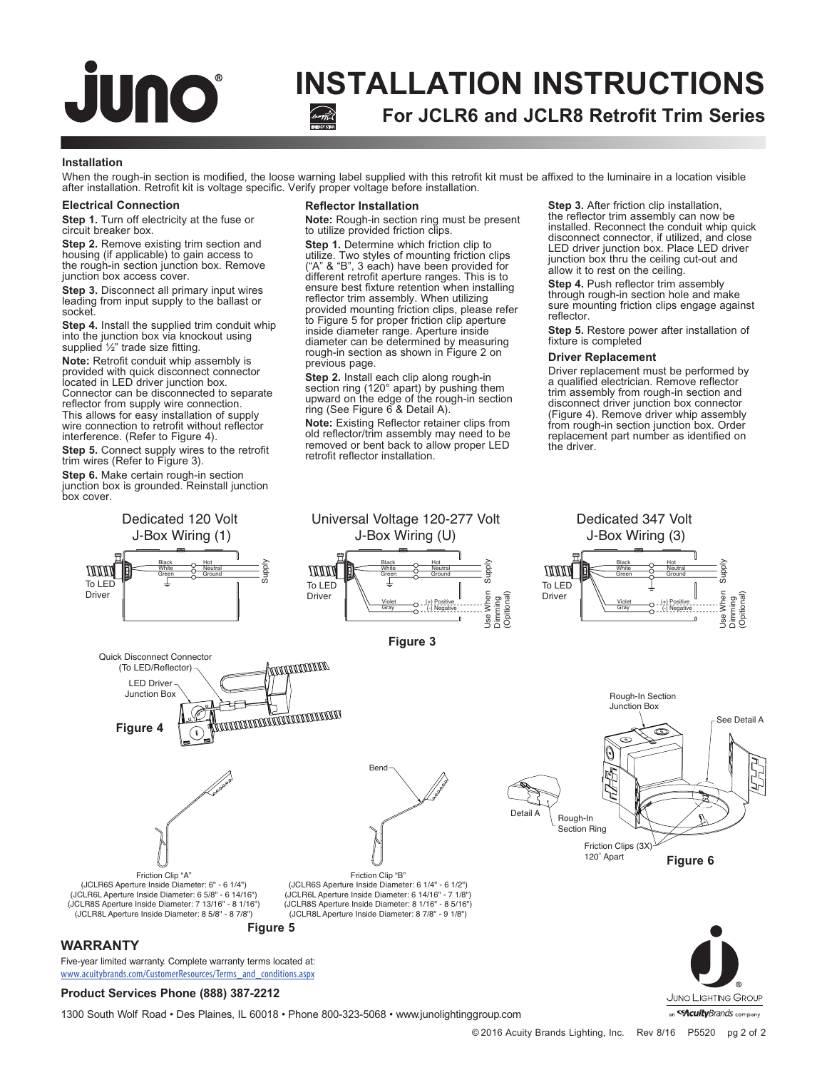# **INSTALLATION INSTRUCTIONS For JCLR6 and JCLR8 Retrofit Trim Series**

### **Installation**

When the rough-in section is modified, the loose warning label supplied with this retrofit kit must be affixed to the luminaire in a location visible after installation. Retrofit kit is voltage specific. Verify proper voltage before installation.

## **Electrical Connection**

**JUNO** 

**Step 1.** Turn off electricity at the fuse or circuit breaker box.

**Step 2.** Remove existing trim section and housing (if applicable) to gain access to the rough-in section junction box. Remove junction box access cover.

**Step 3.** Disconnect all primary input wires leading from input supply to the ballast or socket.

**Step 4.** Install the supplied trim conduit whip into the junction box via knockout using supplied ½" trade size fitting.

**Note:** Retrofit conduit whip assembly is provided with quick disconnect connector located in LED driver junction box. Connector can be disconnected to separate reflector from supply wire connection. This allows for easy installation of supply wire connection to retrofit without reflector interference. (Refer to Figure 4).

**Step 5.** Connect supply wires to the retrofit trim wires (Refer to Figure 3).

**Step 6.** Make certain rough-in section junction box is grounded. Reinstall junction box cover.

### **Reflector Installation**

**Note:** Rough-in section ring must be present to utilize provided friction clips.

**Step 1.** Determine which friction clip to utilize. Two styles of mounting friction clips ("A" & "B", 3 each) have been provided for different retrofit aperture ranges. This is to ensure best fixture retention when installing reflector trim assembly. When utilizing provided mounting friction clips, please refer to Figure 5 for proper friction clip aperture inside diameter range. Aperture inside diameter can be determined by measuring rough-in section as shown in Figure 2 on previous page.

**Step 2.** Install each clip along rough-in section ring (120° apart) by pushing them upward on the edge of the rough-in section ring (See Figure 6 & Detail A).

**Note:** Existing Reflector retainer clips from old reflector/trim assembly may need to be removed or bent back to allow proper LED retrofit reflector installation.

**Step 3.** After friction clip installation, the reflector trim assembly can now be installed. Reconnect the conduit whip quick disconnect connector, if utilized, and close LED driver junction box. Place LED driver junction box thru the ceiling cut-out and allow it to rest on the ceiling.

**Step 4.** Push reflector trim assembly through rough-in section hole and make sure mounting friction clips engage against reflector.

**Step 5.** Restore power after installation of fixture is completed

#### **Driver Replacement**

Driver replacement must be performed by a qualified electrician. Remove reflector trim assembly from rough-in section and disconnect driver junction box connector (Figure 4). Remove driver whip assembly from rough-in section junction box. Order replacement part number as identified on the driver.



1300 South Wolf Road • Des Plaines, IL 60018 • Phone 800-323-5068 • www.junolightinggroup.com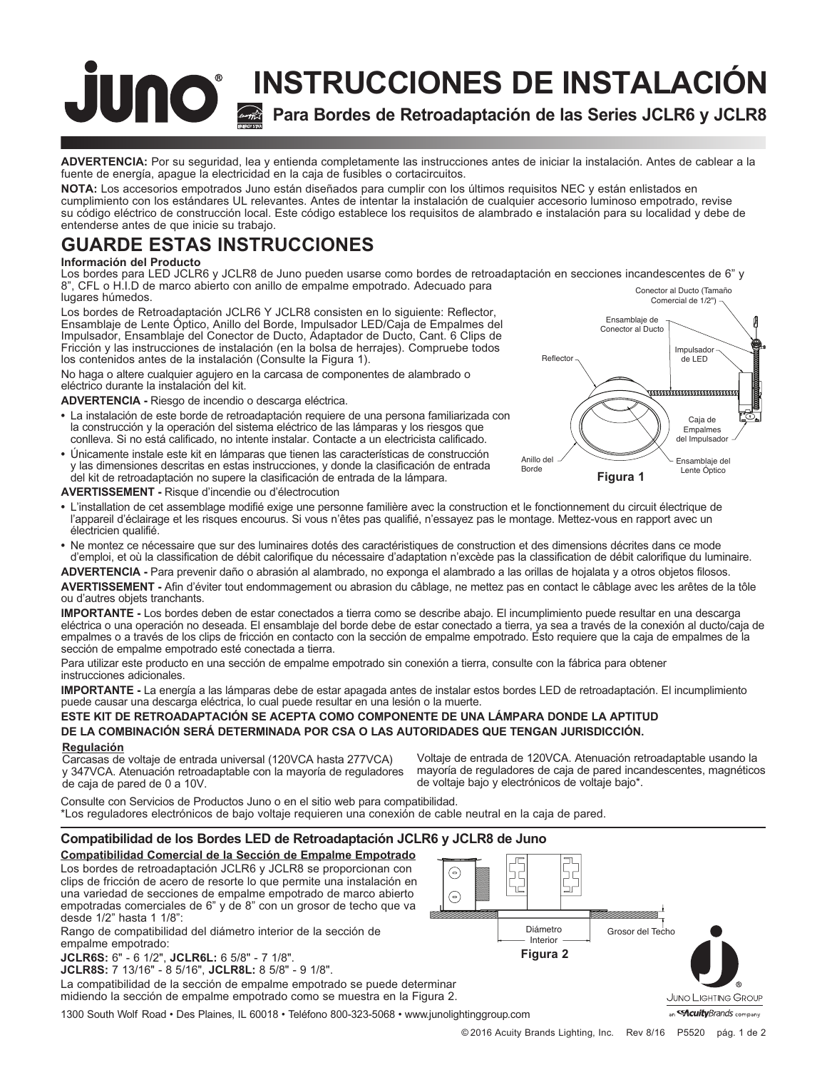# **Para Bordes de Retroadaptación de las Series JCLR6 y JCLR8 INSTRUCCIONES DE INSTALACIÓN**

**ADVERTENCIA:** Por su seguridad, lea y entienda completamente las instrucciones antes de iniciar la instalación. Antes de cablear a la fuente de energía, apague la electricidad en la caja de fusibles o cortacircuitos.

**NOTA:** Los accesorios empotrados Juno están diseñados para cumplir con los últimos requisitos NEC y están enlistados en cumplimiento con los estándares UL relevantes. Antes de intentar la instalación de cualquier accesorio luminoso empotrado, revise su código eléctrico de construcción local. Este código establece los requisitos de alambrado e instalación para su localidad y debe de entenderse antes de que inicie su trabajo.

# **GUARDE ESTAS INSTRUCCIONES**

# **Información del Producto**

Los bordes para LED JCLR6 y JCLR8 de Juno pueden usarse como bordes de retroadaptación en secciones incandescentes de 6" y 8", CFL o H.I.D de marco abierto con anillo de empalme empotrado. Adecuado para lugares húmedos. Conector al Ducto (Tamaño

Los bordes de Retroadaptación JCLR6 Y JCLR8 consisten en lo siguiente: Reflector, Ensamblaje de Lente Óptico, Anillo del Borde, Impulsador LED/Caja de Empalmes del Impulsador, Ensamblaje del Conector de Ducto, Adaptador de Ducto, Cant. 6 Clips de Fricción y las instrucciones de instalación (en la bolsa de herrajes). Compruebe todos los contenidos antes de la instalación (Consulte la Figura 1).

No haga o altere cualquier agujero en la carcasa de componentes de alambrado o eléctrico durante la instalación del kit.

# **ADVERTENCIA -** Riesgo de incendio o descarga eléctrica.

- **•** La instalación de este borde de retroadaptación requiere de una persona familiarizada con la construcción y la operación del sistema eléctrico de las lámparas y los riesgos que conlleva. Si no está calificado, no intente instalar. Contacte a un electricista calificado.
- **•** Únicamente instale este kit en lámparas que tienen las características de construcción y las dimensiones descritas en estas instrucciones, y donde la clasificación de entrada del kit de retroadaptación no supere la clasificación de entrada de la lámpara.

![](_page_2_Figure_11.jpeg)

# **AVERTISSEMENT -** Risque d'incendie ou d'électrocution

- **•** L'installation de cet assemblage modifié exige une personne familière avec la construction et le fonctionnement du circuit électrique de l'appareil d'éclairage et les risques encourus. Si vous n'êtes pas qualifié, n'essayez pas le montage. Mettez-vous en rapport avec un électricien qualifié.
- **•** Ne montez ce nécessaire que sur des luminaires dotés des caractéristiques de construction et des dimensions décrites dans ce mode d'emploi, et où la classification de débit calorifique du nécessaire d'adaptation n'excède pas la classification de débit calorifique du luminaire.

**ADVERTENCIA -** Para prevenir daño o abrasión al alambrado, no exponga el alambrado a las orillas de hojalata y a otros objetos filosos.

**AVERTISSEMENT -** Afin d'éviter tout endommagement ou abrasion du câblage, ne mettez pas en contact le câblage avec les arêtes de la tôle ou d'autres objets tranchants.

**IMPORTANTE -** Los bordes deben de estar conectados a tierra como se describe abajo. El incumplimiento puede resultar en una descarga eléctrica o una operación no deseada. El ensamblaje del borde debe de estar conectado a tierra, ya sea a través de la conexión al ducto/caja de empalmes o a través de los clips de fricción en contacto con la sección de empalme empotrado. Esto requiere que la caja de empalmes de la sección de empalme empotrado esté conectada a tierra.

Para utilizar este producto en una sección de empalme empotrado sin conexión a tierra, consulte con la fábrica para obtener instrucciones adicionales.

**IMPORTANTE -** La energía a las lámparas debe de estar apagada antes de instalar estos bordes LED de retroadaptación. El incumplimiento puede causar una descarga eléctrica, lo cual puede resultar en una lesión o la muerte.

# **ESTE KIT DE RETROADAPTACIÓN SE ACEPTA COMO COMPONENTE DE UNA LÁMPARA DONDE LA APTITUD DE LA COMBINACIÓN SERÁ DETERMINADA POR CSA O LAS AUTORIDADES QUE TENGAN JURISDICCIÓN.**

# **Regulación**

Carcasas de voltaje de entrada universal (120VCA hasta 277VCA) y 347VCA. Atenuación retroadaptable con la mayoría de reguladores de caja de pared de 0 a 10V.

Voltaje de entrada de 120VCA. Atenuación retroadaptable usando la mayoría de reguladores de caja de pared incandescentes, magnéticos de voltaje bajo y electrónicos de voltaje bajo\*.

Consulte con Servicios de Productos Juno o en el sitio web para compatibilidad. \*Los reguladores electrónicos de bajo voltaje requieren una conexión de cable neutral en la caja de pared.

# **Compatibilidad de los Bordes LED de Retroadaptación JCLR6 y JCLR8 de Juno**

**Compatibilidad Comercial de la Sección de Empalme Empotrado** Los bordes de retroadaptación JCLR6 y JCLR8 se proporcionan con clips de fricción de acero de resorte lo que permite una instalación en una variedad de secciones de empalme empotrado de marco abierto empotradas comerciales de 6" y de 8" con un grosor de techo que va desde 1/2" hasta 1 1/8":

Rango de compatibilidad del diámetro interior de la sección de empalme empotrado:

**JCLR6S:** 6" - 6 1/2", **JCLR6L:** 6 5/8" - 7 1/8".

**JCLR8S:** 7 13/16" - 8 5/16", **JCLR8L:** 8 5/8" - 9 1/8".

La compatibilidad de la sección de empalme empotrado se puede determinar midiendo la sección de empalme empotrado como se muestra en la Figura 2.

1300 South Wolf Road • Des Plaines, IL 60018 • Teléfono 800-323-5068 • www.junolightinggroup.com

![](_page_2_Figure_32.jpeg)